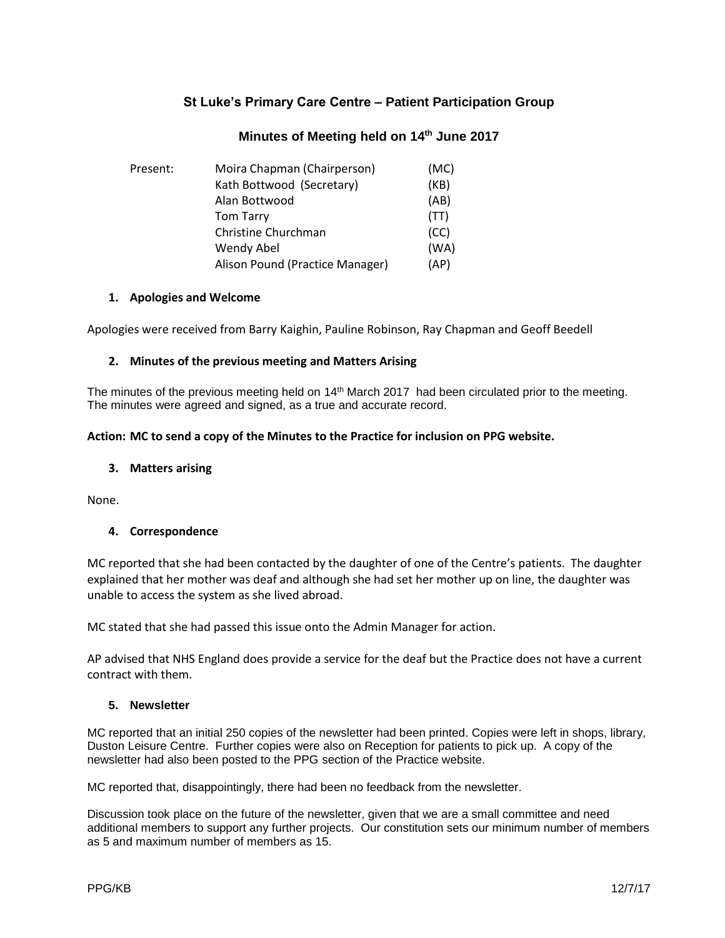# **St Luke's Primary Care Centre – Patient Participation Group**

## **Minutes of Meeting held on 14th June 2017**

| Present: | Moira Chapman (Chairperson)     | (MC) |
|----------|---------------------------------|------|
|          | Kath Bottwood (Secretary)       | (KB) |
|          | Alan Bottwood                   | (AB) |
|          | <b>Tom Tarry</b>                | (TT) |
|          | Christine Churchman             | (CC) |
|          | Wendy Abel                      | (WA) |
|          | Alison Pound (Practice Manager) | (AP) |

### **1. Apologies and Welcome**

Apologies were received from Barry Kaighin, Pauline Robinson, Ray Chapman and Geoff Beedell

### **2. Minutes of the previous meeting and Matters Arising**

The minutes of the previous meeting held on 14<sup>th</sup> March 2017 had been circulated prior to the meeting. The minutes were agreed and signed, as a true and accurate record.

### **Action: MC to send a copy of the Minutes to the Practice for inclusion on PPG website.**

### **3. Matters arising**

None.

## **4. Correspondence**

MC reported that she had been contacted by the daughter of one of the Centre's patients. The daughter explained that her mother was deaf and although she had set her mother up on line, the daughter was unable to access the system as she lived abroad.

MC stated that she had passed this issue onto the Admin Manager for action.

AP advised that NHS England does provide a service for the deaf but the Practice does not have a current contract with them.

### **5. Newsletter**

MC reported that an initial 250 copies of the newsletter had been printed. Copies were left in shops, library, Duston Leisure Centre. Further copies were also on Reception for patients to pick up. A copy of the newsletter had also been posted to the PPG section of the Practice website.

MC reported that, disappointingly, there had been no feedback from the newsletter.

Discussion took place on the future of the newsletter, given that we are a small committee and need additional members to support any further projects. Our constitution sets our minimum number of members as 5 and maximum number of members as 15.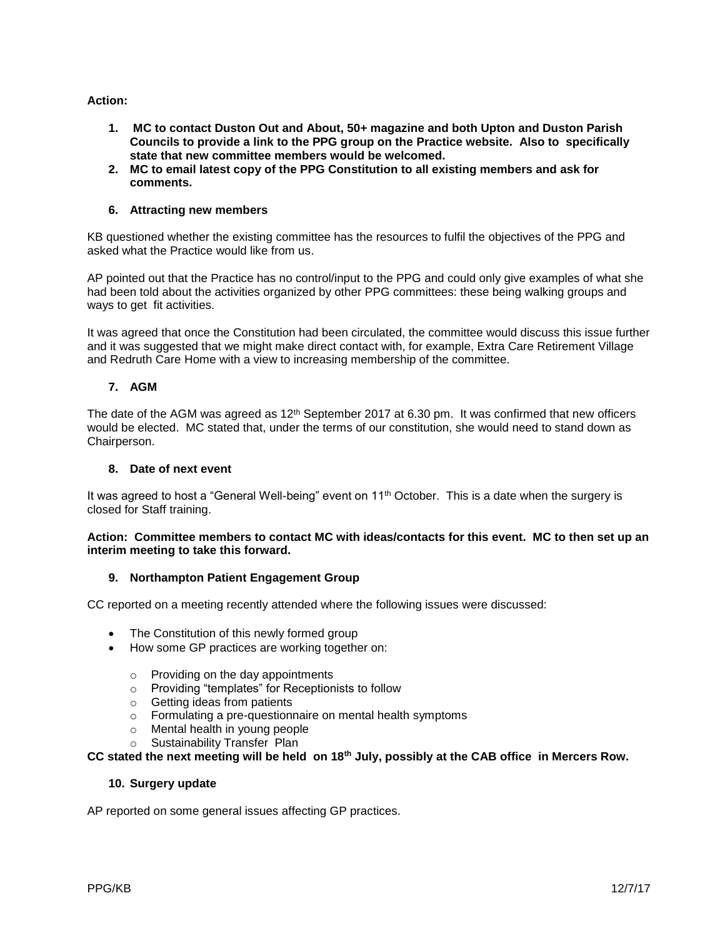## **Action:**

- **1. MC to contact Duston Out and About, 50+ magazine and both Upton and Duston Parish Councils to provide a link to the PPG group on the Practice website. Also to specifically state that new committee members would be welcomed.**
- **2. MC to email latest copy of the PPG Constitution to all existing members and ask for comments.**

### **6. Attracting new members**

KB questioned whether the existing committee has the resources to fulfil the objectives of the PPG and asked what the Practice would like from us.

AP pointed out that the Practice has no control/input to the PPG and could only give examples of what she had been told about the activities organized by other PPG committees: these being walking groups and ways to get fit activities.

It was agreed that once the Constitution had been circulated, the committee would discuss this issue further and it was suggested that we might make direct contact with, for example, Extra Care Retirement Village and Redruth Care Home with a view to increasing membership of the committee.

## **7. AGM**

The date of the AGM was agreed as  $12<sup>th</sup>$  September 2017 at 6.30 pm. It was confirmed that new officers would be elected. MC stated that, under the terms of our constitution, she would need to stand down as Chairperson.

### **8. Date of next event**

It was agreed to host a "General Well-being" event on 11<sup>th</sup> October. This is a date when the surgery is closed for Staff training.

#### **Action: Committee members to contact MC with ideas/contacts for this event. MC to then set up an interim meeting to take this forward.**

### **9. Northampton Patient Engagement Group**

CC reported on a meeting recently attended where the following issues were discussed:

- The Constitution of this newly formed group
- How some GP practices are working together on:
	- o Providing on the day appointments
	- o Providing "templates" for Receptionists to follow
	- o Getting ideas from patients
	- o Formulating a pre-questionnaire on mental health symptoms
	- o Mental health in young people
	- o Sustainability Transfer Plan

## **CC stated the next meeting will be held on 18th July, possibly at the CAB office in Mercers Row.**

### **10. Surgery update**

AP reported on some general issues affecting GP practices.